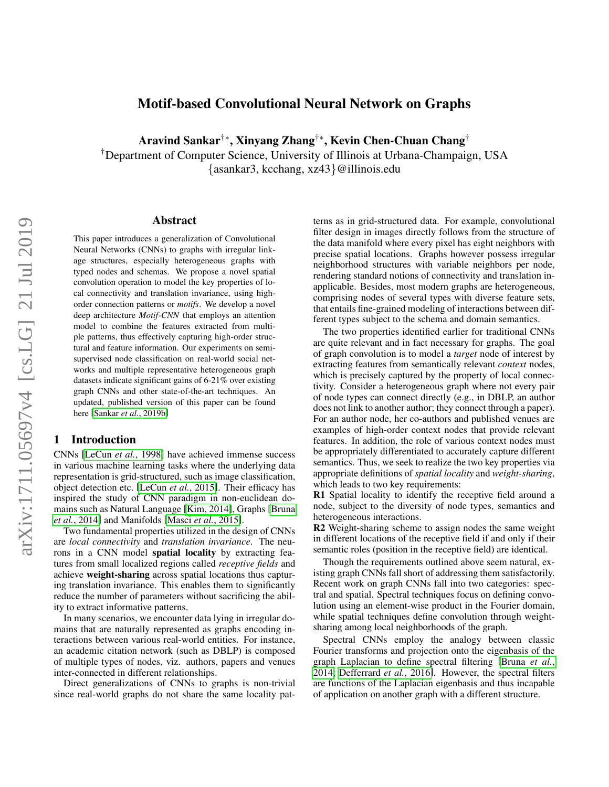# Motif-based Convolutional Neural Network on Graphs

Aravind Sankar†∗, Xinyang Zhang†∗, Kevin Chen-Chuan Chang†

†Department of Computer Science, University of Illinois at Urbana-Champaign, USA {asankar3, kcchang, xz43}@illinois.edu

#### Abstract

This paper introduces a generalization of Convolutional Neural Networks (CNNs) to graphs with irregular linkage structures, especially heterogeneous graphs with typed nodes and schemas. We propose a novel spatial convolution operation to model the key properties of local connectivity and translation invariance, using highorder connection patterns or *motifs*. We develop a novel deep architecture *Motif-CNN* that employs an attention model to combine the features extracted from multiple patterns, thus effectively capturing high-order structural and feature information. Our experiments on semisupervised node classification on real-world social networks and multiple representative heterogeneous graph datasets indicate significant gains of 6-21% over existing graph CNNs and other state-of-the-art techniques. An updated, published version of this paper can be found here [Sankar *et al.*[, 2019b\]](#page-6-0)

### <span id="page-0-0"></span>1 Introduction

CNNs [\[LeCun](#page-6-1) *et al.*, 1998] have achieved immense success in various machine learning tasks where the underlying data representation is grid-structured, such as image classification, object detection etc. [\[LeCun](#page-6-2) *et al.*, 2015]. Their efficacy has inspired the study of CNN paradigm in non-euclidean domains such as Natural Language [\[Kim, 2014\]](#page-6-3), Graphs [\[Bruna](#page-6-4) *et al.*[, 2014\]](#page-6-4) and Manifolds [Masci *et al.*[, 2015\]](#page-6-5).

Two fundamental properties utilized in the design of CNNs are *local connectivity* and *translation invariance*. The neurons in a CNN model spatial locality by extracting features from small localized regions called *receptive fields* and achieve weight-sharing across spatial locations thus capturing translation invariance. This enables them to significantly reduce the number of parameters without sacrificing the ability to extract informative patterns.

In many scenarios, we encounter data lying in irregular domains that are naturally represented as graphs encoding interactions between various real-world entities. For instance, an academic citation network (such as DBLP) is composed of multiple types of nodes, viz. authors, papers and venues inter-connected in different relationships.

Direct generalizations of CNNs to graphs is non-trivial since real-world graphs do not share the same locality patterns as in grid-structured data. For example, convolutional filter design in images directly follows from the structure of the data manifold where every pixel has eight neighbors with precise spatial locations. Graphs however possess irregular neighborhood structures with variable neighbors per node, rendering standard notions of connectivity and translation inapplicable. Besides, most modern graphs are heterogeneous, comprising nodes of several types with diverse feature sets, that entails fine-grained modeling of interactions between different types subject to the schema and domain semantics.

The two properties identified earlier for traditional CNNs are quite relevant and in fact necessary for graphs. The goal of graph convolution is to model a *target* node of interest by extracting features from semantically relevant *context* nodes, which is precisely captured by the property of local connectivity. Consider a heterogeneous graph where not every pair of node types can connect directly (e.g., in DBLP, an author does not link to another author; they connect through a paper). For an author node, her co-authors and published venues are examples of high-order context nodes that provide relevant features. In addition, the role of various context nodes must be appropriately differentiated to accurately capture different semantics. Thus, we seek to realize the two key properties via appropriate definitions of *spatial locality* and *weight-sharing*, which leads to two key requirements:

R1 Spatial locality to identify the receptive field around a node, subject to the diversity of node types, semantics and heterogeneous interactions.

R2 Weight-sharing scheme to assign nodes the same weight in different locations of the receptive field if and only if their semantic roles (position in the receptive field) are identical.

Though the requirements outlined above seem natural, existing graph CNNs fall short of addressing them satisfactorily. Recent work on graph CNNs fall into two categories: spectral and spatial. Spectral techniques focus on defining convolution using an element-wise product in the Fourier domain, while spatial techniques define convolution through weightsharing among local neighborhoods of the graph.

Spectral CNNs employ the analogy between classic Fourier transforms and projection onto the eigenbasis of the graph Laplacian to define spectral filtering [\[Bruna](#page-6-4) *et al.*, [2014;](#page-6-4) [Defferrard](#page-6-6) *et al.*, 2016]. However, the spectral filters are functions of the Laplacian eigenbasis and thus incapable of application on another graph with a different structure.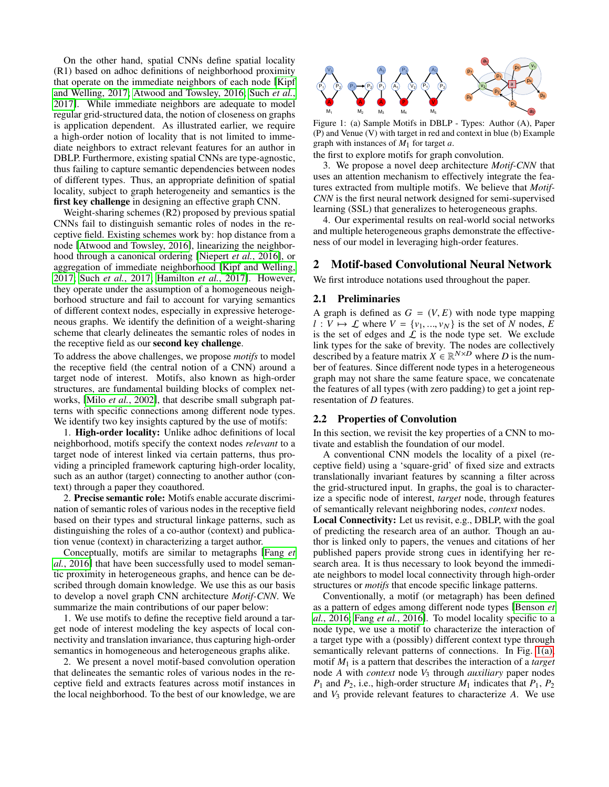On the other hand, spatial CNNs define spatial locality (R1) based on adhoc definitions of neighborhood proximity that operate on the immediate neighbors of each node [\[Kipf](#page-6-7) [and Welling, 2017;](#page-6-7) [Atwood and Towsley, 2016;](#page-6-8) [Such](#page-6-9) *et al.*, [2017\]](#page-6-9). While immediate neighbors are adequate to model regular grid-structured data, the notion of closeness on graphs is application dependent. As illustrated earlier, we require a high-order notion of locality that is not limited to immediate neighbors to extract relevant features for an author in DBLP. Furthermore, existing spatial CNNs are type-agnostic, thus failing to capture semantic dependencies between nodes of different types. Thus, an appropriate definition of spatial locality, subject to graph heterogeneity and semantics is the first key challenge in designing an effective graph CNN.

Weight-sharing schemes (R2) proposed by previous spatial CNNs fail to distinguish semantic roles of nodes in the receptive field. Existing schemes work by: hop distance from a node [\[Atwood and Towsley, 2016\]](#page-6-8), linearizing the neighborhood through a canonical ordering [\[Niepert](#page-6-10) *et al.*, 2016], or aggregation of immediate neighborhood [\[Kipf and Welling,](#page-6-7) [2017;](#page-6-7) Such *et al.*[, 2017;](#page-6-9) [Hamilton](#page-6-11) *et al.*, 2017]. However, they operate under the assumption of a homogeneous neighborhood structure and fail to account for varying semantics of different context nodes, especially in expressive heterogeneous graphs. We identify the definition of a weight-sharing scheme that clearly delineates the semantic roles of nodes in the receptive field as our second key challenge. and Welling, 2017?, Atmosd and Tawisbey, 2016; Such scale and the registered data, the points of our calibration of local neighborhood. To the best of our calibration of local neighborhood. To the best our calibration of

To address the above challenges, we propose *motifs* to model the receptive field (the central notion of a CNN) around a target node of interest. Motifs, also known as high-order structures, are fundamental building blocks of complex networks, [Milo *et al.*[, 2002\]](#page-6-12), that describe small subgraph patterns with specific connections among different node types. We identify two key insights captured by the use of motifs:

1. High-order locality: Unlike adhoc definitions of local neighborhood, motifs specify the context nodes *relevant* to a target node of interest linked via certain patterns, thus providing a principled framework capturing high-order locality, such as an author (target) connecting to another author (context) through a paper they coauthored.

2. Precise semantic role: Motifs enable accurate discrimination of semantic roles of various nodes in the receptive field based on their types and structural linkage patterns, such as distinguishing the roles of a co-author (context) and publication venue (context) in characterizing a target author.

Conceptually, motifs are similar to metagraphs [\[Fang](#page-6-13) *et al.*[, 2016\]](#page-6-13) that have been successfully used to model semantic proximity in heterogeneous graphs, and hence can be described through domain knowledge. We use this as our basis to develop a novel graph CNN architecture *Motif-CNN*. We summarize the main contributions of our paper below:

1. We use motifs to define the receptive field around a target node of interest modeling the key aspects of local connectivity and translation invariance, thus capturing high-order semantics in homogeneous and heterogeneous graphs alike.

2. We present a novel motif-based convolution operation that delineates the semantic roles of various nodes in the receptive field and extracts features across motif instances in

<span id="page-1-0"></span>

<span id="page-1-1"></span>Figure 1: (a) Sample Motifs in DBLP - Types: Author (A), Paper (P) and Venue (V) with target in red and context in blue (b) Example graph with instances of *M*1 for target *a*.

the first to explore motifs for graph convolution.

3. We propose a novel deep architecture *Motif-CNN* that uses an attention mechanism to effectively integrate the features extracted from multiple motifs. We believe that *Motif-CNN* is the first neural network designed for semi-supervised learning (SSL) that generalizes to heterogeneous graphs.

4. Our experimental results on real-world social networks and multiple heterogeneous graphs demonstrate the effectiveness of our model in leveraging high-order features.

## 2 Motif-based Convolutional Neural Network

We first introduce notations used throughout the paper.

### 2.1 Preliminaries

A graph is defined as  $G = (V, E)$  with node type mapping  $l: V \mapsto \mathcal{L}$  where  $V = \{v_1, ..., v_N\}$  is the set of *N* nodes, *E* is the set of edges and  $\mathcal L$  is the node type set. We exclude link types for the sake of brevity. The nodes are collectively described by a feature matrix  $X \in \mathbb{R}^{N \times D}$  where *D* is the number of features. Since different node types in a heterogeneous graph may not share the same feature space, we concatenate the features of all types (with zero padding) to get a joint representation of *D* features.

#### 2.2 Properties of Convolution

In this section, we revisit the key properties of a CNN to motivate and establish the foundation of our model.

A conventional CNN models the locality of a pixel (receptive field) using a 'square-grid' of fixed size and extracts translationally invariant features by scanning a filter across the grid-structured input. In graphs, the goal is to characterize a specific node of interest, *target* node, through features of semantically relevant neighboring nodes, *context* nodes.

Local Connectivity: Let us revisit, e.g., DBLP, with the goal of predicting the research area of an author. Though an author is linked only to papers, the venues and citations of her published papers provide strong cues in identifying her research area. It is thus necessary to look beyond the immediate neighbors to model local connectivity through high-order structures or *motifs* that encode specific linkage patterns.

Conventionally, a motif (or metagraph) has been defined as a pattern of edges among different node types [\[Benson](#page-6-14) *et al.*[, 2016;](#page-6-14) Fang *et al.*[, 2016\]](#page-6-13). To model locality specific to a node type, we use a motif to characterize the interaction of a target type with a (possibly) different context type through semantically relevant patterns of connections. In Fig. [1\(a\),](#page-1-0) motif *M*<sup>1</sup> is a pattern that describes the interaction of a *target* node *A* with *context* node *V*<sup>3</sup> through *auxiliary* paper nodes  $P_1$  and  $P_2$ , i.e., high-order structure  $M_1$  indicates that  $P_1$ ,  $P_2$ and *V*<sup>3</sup> provide relevant features to characterize *A*. We use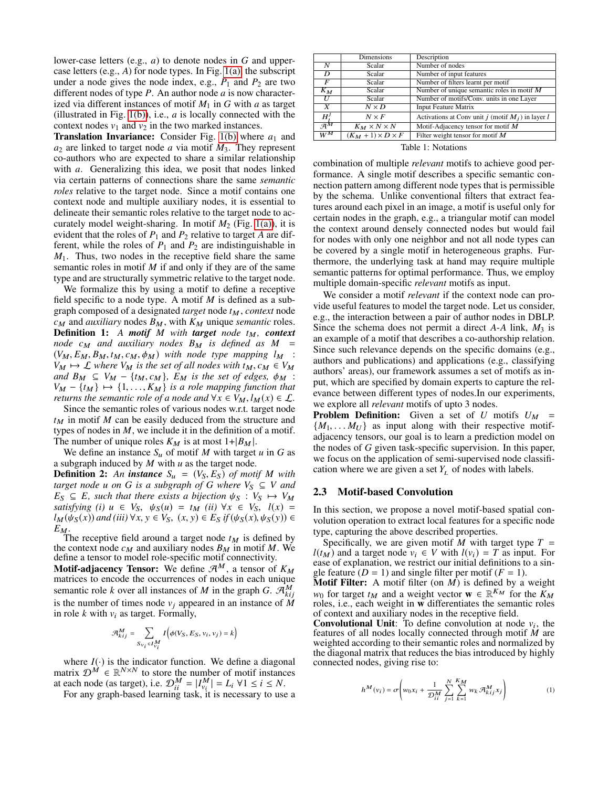lower-case letters (e.g., *a*) to denote nodes in *G* and uppercase letters (e.g., *A*) for node types. In Fig. [1\(a\),](#page-1-0) the subscript under a node gives the node index, e.g.,  $P_1$  and  $P_2$  are two different nodes of type *P*. An author node *a* is now characterized via different instances of motif *M*<sup>1</sup> in *G* with *a* as target (illustrated in Fig. [1\(b\)\)](#page-1-1), i.e., *a* is locally connected with the context nodes  $v_1$  and  $v_2$  in the two marked instances.

**Translation Invariance:** Consider Fig.  $1(b)$  where  $a_1$  and  $a_2$  are linked to target node  $a$  via motif  $M_3$ . They represent co-authors who are expected to share a similar relationship with *a*. Generalizing this idea, we posit that nodes linked via certain patterns of connections share the same *semantic roles* relative to the target node. Since a motif contains one context node and multiple auxiliary nodes, it is essential to delineate their semantic roles relative to the target node to accurately model weight-sharing. In motif  $M_2$  (Fig. [1\(a\)\)](#page-1-0), it is evident that the roles of  $P_1$  and  $P_2$  relative to target *A* are different, while the roles of  $P_1$  and  $P_2$  are indistinguishable in *M*1. Thus, two nodes in the receptive field share the same semantic roles in motif *M* if and only if they are of the same type and are structurally symmetric relative to the target node.

We formalize this by using a motif to define a receptive field specific to a node type. A motif *M* is defined as a subgraph composed of a designated *target* node  $t_M$ , *context* node  $c_M$  and *auxiliary* nodes  $B_M$ , with  $K_M$  unique *semantic* roles. Definition 1: A motif M with target node  $t_M$ , context *node*  $c_M$  *and auxiliary nodes*  $B_M$  *is defined as*  $M$  $(V_M, E_M, B_M, t_M, c_M, \phi_M)$  with node type mapping  $l_M$  :  $V_M \mapsto \mathcal{L}$  *where*  $V_M$  *is the set of all nodes with*  $t_M$ ,  $c_M \in V_M$ *and*  $B_M \subseteq V_M - \{t_M, c_M\}$ ,  $E_M$  *is the set of edges,*  $\phi_M : V_M - \{t_M\} \mapsto \{1 - K_M\}$  *is a role manning function that*  $V_M - \{t_M\} \mapsto \{1, \ldots, K_M\}$  *is a role mapping function that*<br>returns the semantic role of a node and  $\forall x \in V_M$   $M(x) \in \Gamma$ *returns the semantic role of a node and*  $\forall x \in V_M$ ,  $l_M(x) \in \mathcal{L}$ .

Since the semantic roles of various nodes w.r.t. target node  $t_M$  in motif  $M$  can be easily deduced from the structure and types of nodes in *M*, we include it in the definition of a motif. The number of unique roles  $K_M$  is at most  $1+|B_M|$ .

We define an instance  $S_u$  of motif *M* with target *u* in *G* as a subgraph induced by *M* with *u* as the target node.

**Definition 2:** An **instance**  $S_u = (V_S, E_S)$  of motif *M* with *target node u on G is a subgraph of G where*  $V_S \subseteq V$  *and*  $E_S \subseteq E$ , such that there exists a bijection  $\psi_S : V_S \mapsto V_M$ *satisfying* (*i*)  $u \in V_S$ ,  $\psi_S(u) = t_M$  (*ii*)  $\forall x \in V_S$ ,  $l(x) =$  $l_M(\psi_S(x))$  *and (iii)*  $\forall x, y \in V_S$ ,  $(x, y) \in E_S$  *if*  $(\psi_S(x), \psi_S(y)) \in$  $E_M$ .

The receptive field around a target node  $t_M$  is defined by the context node  $c_M$  and auxiliary nodes  $B_M$  in motif M. We define a tensor to model role-specific motif connectivity.

**Motif-adjacency Tensor:** We define  $\mathcal{A}^M$ , a tensor of  $K_M$ matrices to encode the occurrences of nodes in each unique semantic role *k* over all instances of *M* in the graph *G*.  $\mathcal{A}_{kij}^M$ is the number of times node  $v_i$  appeared in an instance of  $M$ in role  $k$  with  $v_i$  as target. Formally,

$$
\mathcal{A}_{kij}^M = \sum_{Sv_i \in I_{v_i}^M} I\left(\phi(V_S, E_S, v_i, v_j) = k\right)
$$

where  $I(\cdot)$  is the indicator function. We define a diagonal matrix  $\mathcal{D}^{\tilde{M}} \in \mathbb{R}^{N \times N}$  to store the number of motif instances at each node (as target), i.e.  $\mathcal{D}_{ii}^M = |I_{v_i}^M| = L_i \ \forall 1 \le i \le N$ .

For any graph-based learning task, it is necessary to use a

|                                           | Dimensions                    | Description                                          |
|-------------------------------------------|-------------------------------|------------------------------------------------------|
| N                                         | Scalar                        | Number of nodes                                      |
| D                                         | Scalar                        | Number of input features                             |
| F                                         | Scalar                        | Number of filters learnt per motif                   |
| $K_M$                                     | Scalar                        | Number of unique semantic roles in motif $M$         |
| U                                         | Scalar                        | Number of motifs/Conv. units in one Layer            |
| X                                         | $N \times D$                  | <b>Input Feature Matrix</b>                          |
| $H^J$                                     | $N \times F$                  | Activations at Conv unit j (motif $M_i$ ) in layer l |
| $\overline{\mathcal{A}}^{\boldsymbol{M}}$ | $K_M \times N \times N$       | Motif-Adjacency tensor for motif $M$                 |
| $\bar{W}^M$                               | $(K_M + 1) \times D \times F$ | Filter weight tensor for motif $M$                   |

Table 1: Notations

combination of multiple *relevant* motifs to achieve good performance. A single motif describes a specific semantic connection pattern among different node types that is permissible by the schema. Unlike conventional filters that extract features around each pixel in an image, a motif is useful only for certain nodes in the graph, e.g., a triangular motif can model the context around densely connected nodes but would fail for nodes with only one neighbor and not all node types can be covered by a single motif in heterogeneous graphs. Furthermore, the underlying task at hand may require multiple semantic patterns for optimal performance. Thus, we employ multiple domain-specific *relevant* motifs as input.

We consider a motif *relevant* if the context node can provide useful features to model the target node. Let us consider, e.g., the interaction between a pair of author nodes in DBLP. Since the schema does not permit a direct *A*-*A* link, *M*<sup>3</sup> is an example of a motif that describes a co-authorship relation. Since such relevance depends on the specific domains (e.g., authors and publications) and applications (e.g., classifying authors' areas), our framework assumes a set of motifs as input, which are specified by domain experts to capture the relevance between different types of nodes.In our experiments, we explore all *relevant* motifs of upto 3 nodes.

**Problem Definition:** Given a set of  $U$  motifs  $U_M$  =  ${M_1, \ldots M_U}$  as input along with their respective motifadjacency tensors, our goal is to learn a prediction model on the nodes of *G* given task-specific supervision. In this paper, we focus on the application of semi-supervised node classification where we are given a set  $Y_L$  of nodes with labels.

### 2.3 Motif-based Convolution

In this section, we propose a novel motif-based spatial convolution operation to extract local features for a specific node type, capturing the above described properties.

Specifically, we are given motif *M* with target type  $T =$  $l(t_M)$  and a target node  $v_i \in V$  with  $l(v_i) = T$  as input. For ease of explanation, we restrict our initial definitions to a single feature  $(D = 1)$  and single filter per motif  $(F = 1)$ .

Motif Filter: A motif filter (on *M*) is defined by a weight  $w_0$  for target  $t_M$  and a weight vector  $\mathbf{w} \in \mathbb{R}^{K_M}$  for the  $K_M$ roles, i.e., each weight in **w** differentiates the semantic roles of context and auxiliary nodes in the receptive field.

**Convolutional Unit:** To define convolution at node  $v_i$ , the features of all nodes locally connected through motif *M* are weighted according to their semantic roles and normalized by the diagonal matrix that reduces the bias introduced by highly connected nodes, giving rise to:

<span id="page-2-0"></span>
$$
h^M(v_i) = \sigma \left( w_0 x_i + \frac{1}{\mathcal{D}_{ii}^M} \sum_{j=1}^N \sum_{k=1}^{K_M} w_k \mathcal{A}_{kij}^M x_j \right) \tag{1}
$$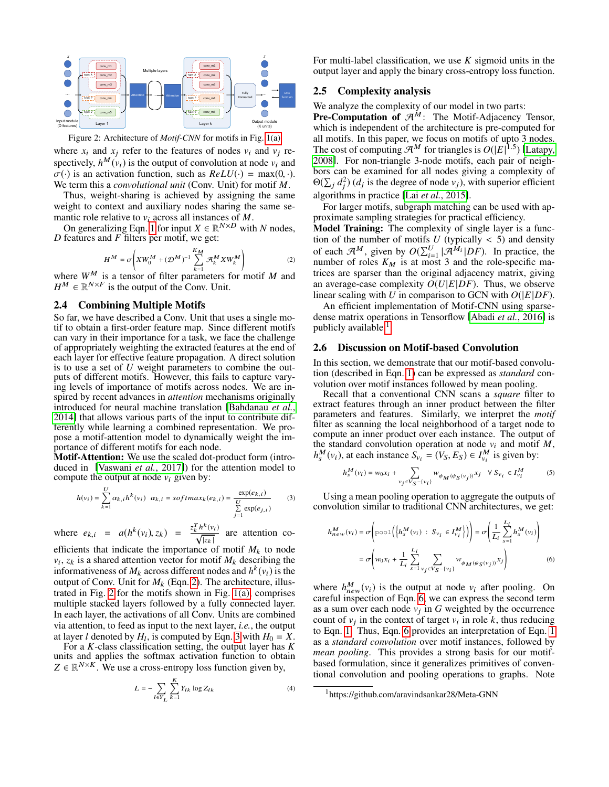<span id="page-3-1"></span>

Figure 2: Architecture of *Motif-CNN* for motifs in Fig. [1\(a\)](#page-1-0) where  $x_i$  and  $x_j$  refer to the features of nodes  $v_i$  and  $v_j$  respectively,  $h^M(v_i)$  is the output of convolution at node  $v_i$  and  $\sigma(\cdot)$  is an activation function, such as  $ReLU(\cdot) = max(0, \cdot)$ . We term this a *convolutional unit* (Conv. Unit) for motif *M*.

Thus, weight-sharing is achieved by assigning the same weight to context and auxiliary nodes sharing the same semantic role relative to  $v_i$  across all instances of  $M$ .

On generalizing Eqn. [1](#page-2-0) for input  $X \in \mathbb{R}^{N \times D}$  with *N* nodes, *D* features and *F* filters per motif, we get:

<span id="page-3-0"></span>
$$
H^{M} = \sigma \left( X W_{0}^{M} + (\mathcal{D}^{M})^{-1} \sum_{k=1}^{K_{M}} \mathcal{A}_{k}^{M} X W_{k}^{M} \right) \tag{2}
$$

where  $W^M$  is a tensor of filter parameters for motif M and  $H^M \in \mathbb{R}^{N \times F}$  is the output of the Conv. Unit.

### 2.4 Combining Multiple Motifs

So far, we have described a Conv. Unit that uses a single motif to obtain a first-order feature map. Since different motifs can vary in their importance for a task, we face the challenge of appropriately weighting the extracted features at the end of each layer for effective feature propagation. A direct solution is to use a set of *U* weight parameters to combine the outputs of different motifs. However, this fails to capture varying levels of importance of motifs across nodes. We are inspired by recent advances in *attention* mechanisms originally introduced for neural machine translation [\[Bahdanau](#page-6-15) *et al.*, [2014\]](#page-6-15) that allows various parts of the input to contribute differently while learning a combined representation. We propose a motif-attention model to dynamically weight the importance of different motifs for each node.

Motif-Attention: We use the scaled dot-product form (introduced in [\[Vaswani](#page-6-16) *et al.*, 2017]) for the attention model to compute the output at node  $v_i$  given by:

$$
h(v_i) = \sum_{k=1}^{U} \alpha_{k,i} h^k(v_i) \quad \alpha_{k,i} = softmax_k(e_{k,i}) = \frac{\exp(e_{k,i})}{\sum_{j=1}^{U} \exp(e_{j,i})}
$$
(3)

where 
$$
e_{k,i} = a(h^k(v_i), z_k) = \frac{z_k^T h^k(v_i)}{\sqrt{|z_k|}}
$$
 are attention co-

efficients that indicate the importance of motif  $M_k$  to node  $v_i$ ,  $z_k$  is a shared attention vector for motif  $M_k$  describing the informativeness of  $M_k$  across different nodes and  $h^k(v_i)$  is the output of Conv. Unit for  $M_k$  (Eqn. [2\)](#page-3-0). The architecture, illustrated in Fig. [2](#page-3-1) for the motifs shown in Fig. [1\(a\),](#page-1-0) comprises multiple stacked layers followed by a fully connected layer. In each layer, the activations of all Conv. Units are combined via attention, to feed as input to the next layer, *i.e.*, the output at layer *l* denoted by  $H_l$ , is computed by Eqn. [3](#page-3-2) with  $H_0 = X$ .

For a *K*-class classification setting, the output layer has *K* units and applies the softmax activation function to obtain  $Z \in \mathbb{R}^{N \times K}$ . We use a cross-entropy loss function given by,

$$
L = -\sum_{l \in Y_L} \sum_{k=1}^{K} Y_{lk} \log Z_{lk}
$$
\n(4)

For multi-label classification, we use *K* sigmoid units in the output layer and apply the binary cross-entropy loss function.

#### 2.5 Complexity analysis

We analyze the complexity of our model in two parts:

**Pre-Computation of**  $\mathcal{A}^M$ **:** The Motif-Adjacency Tensor, which is independent of the architecture is pre-computed for all motifs. In this paper, we focus on motifs of upto 3 nodes. The cost of computing  $\mathcal{A}^M$  for triangles is  $O(|E|^{1.5})$  [\[Latapy,](#page-6-17) [2008\]](#page-6-17). For non-triangle 3-node motifs, each pair of neighbors can be examined for all nodes giving a complexity of  $\Theta(\sum_j d_j^2)$  (*d<sub>j</sub>* is the degree of node  $v_j$ ), with superior efficient algorithms in practice [Lai *et al.*[, 2015\]](#page-6-18).

For larger motifs, subgraph matching can be used with approximate sampling strategies for practical efficiency.

**Model Training:** The complexity of single layer is a function of the number of motifs  $U$  (typically  $\lt$  5) and density tion of the number of motifs *U* (typically < 5) and density of each  $\mathcal{A}^M$ , given by  $O(\sum_{i=1}^U |\mathcal{A}^{M_i}|DF)$ . In practice, the number of roles  $K_M$  is at most 3 and the role-specific matrices are sparser than the original adjacency matrix, giving an average-case complexity  $O(U|E|DF)$ . Thus, we observe linear scaling with *U* in comparison to GCN with  $O(|E|DF)$ .

An efficient implementation of Motif-CNN using sparsedense matrix operations in Tensorflow [Abadi *et al.*[, 2016\]](#page-6-19) is publicly available <sup>[1](#page-3-3)</sup>.

#### <span id="page-3-5"></span>2.6 Discussion on Motif-based Convolution

In this section, we demonstrate that our motif-based convolution (described in Eqn. [1\)](#page-2-0) can be expressed as *standard* convolution over motif instances followed by mean pooling.

Recall that a conventional CNN scans a *square* filter to extract features through an inner product between the filter parameters and features. Similarly, we interpret the *motif* filter as scanning the local neighborhood of a target node to compute an inner product over each instance. The output of the standard convolution operation at node  $v_i$  and motif  $M$ ,  $h_s^M(v_i)$ , at each instance  $S_{v_i} = (V_S, E_S) \in I_{v_i}^M$  is given by:

$$
h_s^M(v_i) = w_0 x_i + \sum_{v_j \in V_S - \{v_i\}} w_{\phi_M(\psi_S(v_j))} x_j \quad \forall \ S_{v_i} \in I_{v_i}^M \tag{5}
$$

<span id="page-3-2"></span>Using a mean pooling operation to aggregate the outputs of convolution similar to traditional CNN architectures, we get:

<span id="page-3-4"></span>
$$
h_{new}^M(v_i) = \sigma \left( \text{pool}\left( \left\{ h_s^M(v_i) : S_{v_i} \in I_{v_i}^M \right\} \right) \right) = \sigma \left( \frac{1}{L_i} \sum_{s=1}^{L_i} h_s^M(v_i) \right)
$$

$$
= \sigma \left( w_0 x_i + \frac{1}{L_i} \sum_{s=1}^{L_i} \sum_{v_j \in V_S - \{v_i\}} w_{\phi_M(\psi_S(v_j))} x_j \right) \tag{6}
$$

where  $h_{new}^M(v_i)$  is the output at node  $v_i$  after pooling. On careful inspection of Eqn. [6,](#page-3-4) we can express the second term as a sum over each node  $v_j$  in  $G$  weighted by the occurrence count of  $v_j$  in the context of target  $v_i$  in role  $k$ , thus reducing to Eqn. [1.](#page-2-0) Thus, Eqn. [6](#page-3-4) provides an interpretation of Eqn. [1](#page-2-0) as a *standard convolution* over motif instances, followed by *mean pooling*. This provides a strong basis for our motifbased formulation, since it generalizes primitives of conventional convolution and pooling operations to graphs. Note

<span id="page-3-3"></span><sup>1</sup>https://github.com/aravindsankar28/Meta-GNN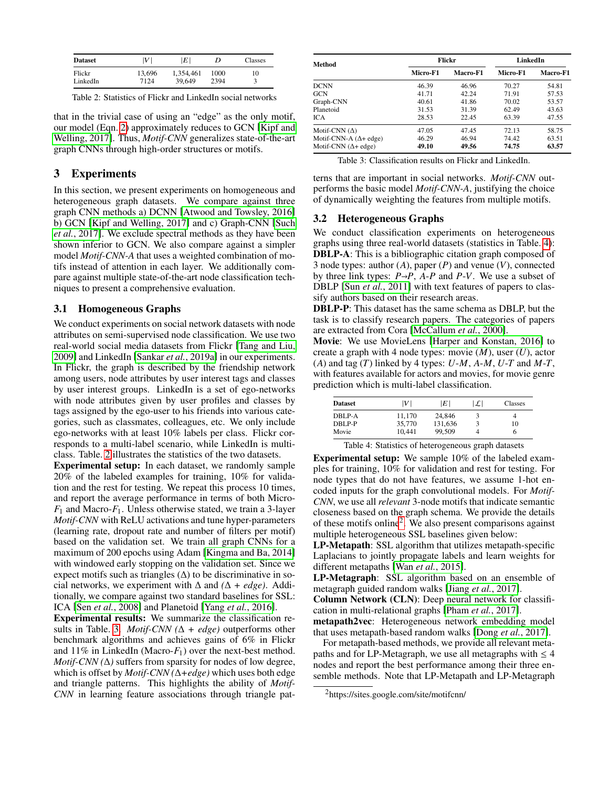<span id="page-4-0"></span>

| <b>Dataset</b>     | V              | ١E١                 | D            | Classes |
|--------------------|----------------|---------------------|--------------|---------|
| Flickr<br>LinkedIn | 13,696<br>7124 | 1,354,461<br>39.649 | 1000<br>2394 | 10      |
|                    |                |                     |              |         |

Table 2: Statistics of Flickr and LinkedIn social networks

that in the trivial case of using an "edge" as the only motif, our model (Eqn. [2\)](#page-3-0) approximately reduces to GCN [\[Kipf and](#page-6-7) [Welling, 2017\]](#page-6-7). Thus, *Motif-CNN* generalizes state-of-the-art graph CNNs through high-order structures or motifs.

# 3 Experiments

In this section, we present experiments on homogeneous and heterogeneous graph datasets. We compare against three graph CNN methods a) DCNN [\[Atwood and Towsley, 2016\]](#page-6-8) b) GCN [\[Kipf and Welling, 2017\]](#page-6-7) and c) Graph-CNN [\[Such](#page-6-9) *et al.*[, 2017\]](#page-6-9). We exclude spectral methods as they have been shown inferior to GCN. We also compare against a simpler model *Motif-CNN-A* that uses a weighted combination of motifs instead of attention in each layer. We additionally compare against multiple state-of-the-art node classification techniques to present a comprehensive evaluation.

### 3.1 Homogeneous Graphs

We conduct experiments on social network datasets with node attributes on semi-supervised node classification. We use two real-world social media datasets from Flickr [\[Tang and Liu,](#page-6-20) [2009\]](#page-6-20) and LinkedIn [Sankar *et al.*[, 2019a\]](#page-6-21) in our experiments. In Flickr, the graph is described by the friendship network among users, node attributes by user interest tags and classes by user interest groups. LinkedIn is a set of ego-networks with node attributes given by user profiles and classes by tags assigned by the ego-user to his friends into various categories, such as classmates, colleagues, etc. We only include ego-networks with at least 10% labels per class. Flickr corresponds to a multi-label scenario, while LinkedIn is multiclass. Table. [2](#page-4-0) illustrates the statistics of the two datasets.

Experimental setup: In each dataset, we randomly sample 20% of the labeled examples for training, 10% for validation and the rest for testing. We repeat this process 10 times, and report the average performance in terms of both Micro- $F_1$  and Macro- $F_1$ . Unless otherwise stated, we train a 3-layer *Motif-CNN* with ReLU activations and tune hyper-parameters (learning rate, dropout rate and number of filters per motif) based on the validation set. We train all graph CNNs for a maximum of 200 epochs using Adam [\[Kingma and Ba, 2014\]](#page-6-22) with windowed early stopping on the validation set. Since we expect motifs such as triangles  $(\Delta)$  to be discriminative in social networks, we experiment with  $\Delta$  and  $(\Delta + edge)$ . Additionally, we compare against two standard baselines for SSL: ICA [Sen *et al.*[, 2008\]](#page-6-23) and Planetoid [Yang *et al.*[, 2016\]](#page-6-24).

Experimental results: We summarize the classification re-sults in Table. [3.](#page-4-1) *Motif-CNN* ( $\Delta + edge$ ) outperforms other benchmark algorithms and achieves gains of 6% in Flickr and 11% in LinkedIn (Macro- $F_1$ ) over the next-best method. *Motif-CNN (*∆*)* suffers from sparsity for nodes of low degree, which is offset by *Motif-CNN (*∆*+edge)* which uses both edge and triangle patterns. This highlights the ability of *Motif-CNN* in learning feature associations through triangle pat-

<span id="page-4-1"></span>

| Method                        |          | Flickr   | LinkedIn |                 |  |
|-------------------------------|----------|----------|----------|-----------------|--|
|                               | Micro-F1 | Macro-F1 | Micro-F1 | <b>Macro-F1</b> |  |
| <b>DCNN</b>                   | 46.39    | 46.96    | 70.27    | 54.81           |  |
| <b>GCN</b>                    | 41.71    | 42.24    | 71.91    | 57.53           |  |
| Graph-CNN                     | 40.61    | 41.86    | 70.02    | 53.57           |  |
| Planetoid                     | 31.53    | 31.39    | 62.49    | 43.63           |  |
| <b>ICA</b>                    | 28.53    | 22.45    | 63.39    | 47.55           |  |
| Motif-CNN $(\Delta)$          | 47.05    | 47.45    | 72.13    | 58.75           |  |
| Motif-CNN-A $(\Delta +$ edge) | 46.29    | 46.94    | 74.42    | 63.51           |  |
| Motif-CNN $(\Delta +$ edge)   | 49.10    | 49.56    | 74.75    | 63.57           |  |

|  |  |  |  | Table 3: Classification results on Flickr and LinkedIn. |
|--|--|--|--|---------------------------------------------------------|
|--|--|--|--|---------------------------------------------------------|

terns that are important in social networks. *Motif-CNN* outperforms the basic model *Motif-CNN-A*, justifying the choice of dynamically weighting the features from multiple motifs.

### 3.2 Heterogeneous Graphs

We conduct classification experiments on heterogeneous graphs using three real-world datasets (statistics in Table. [4\)](#page-4-2): DBLP-A: This is a bibliographic citation graph composed of 3 node types: author (*A*), paper (*P*) and venue (*V*), connected by three link types:  $P \rightarrow P$ ,  $A$ - $P$  and  $P$ - $V$ . We use a subset of DBLP [Sun *et al.*[, 2011\]](#page-6-25) with text features of papers to classify authors based on their research areas.

DBLP-P: This dataset has the same schema as DBLP, but the task is to classify research papers. The categories of papers are extracted from Cora [\[McCallum](#page-6-26) *et al.*, 2000].

Movie: We use MovieLens [\[Harper and Konstan, 2016\]](#page-6-27) to create a graph with 4 node types: movie (*M*), user (*U*), actor (*A*) and tag (*T*) linked by 4 types: *U*-*M*, *A*-*M*, *U*-*T* and *M*-*T*, with features available for actors and movies, for movie genre prediction which is multi-label classification.

<span id="page-4-2"></span>

| <b>Dataset</b> | V      | $\left E\right $ | $ \mathcal{L} $ | Classes |  |
|----------------|--------|------------------|-----------------|---------|--|
| DBLP-A         | 11.170 | 24,846           |                 | 4       |  |
| DBLP-P         | 35,770 | 131,636          |                 | 10      |  |
| Movie          | 10.441 | 99.509           |                 | n       |  |

Table 4: Statistics of heterogeneous graph datasets

Experimental setup: We sample 10% of the labeled examples for training, 10% for validation and rest for testing. For node types that do not have features, we assume 1-hot encoded inputs for the graph convolutional models. For *Motif-CNN*, we use all *relevant* 3-node motifs that indicate semantic closeness based on the graph schema. We provide the details of these motifs online<sup>[2](#page-4-3)</sup>. We also present comparisons against multiple heterogeneous SSL baselines given below:

LP-Metapath: SSL algorithm that utilizes metapath-specific Laplacians to jointly propagate labels and learn weights for different metapaths [Wan *et al.*[, 2015\]](#page-6-28).

LP-Metagraph: SSL algorithm based on an ensemble of metagraph guided random walks [Jiang *et al.*[, 2017\]](#page-6-29).

Column Network (CLN): Deep neural network for classification in multi-relational graphs [Pham *et al.*[, 2017\]](#page-6-30).

metapath2vec: Heterogeneous network embedding model that uses metapath-based random walks [Dong *et al.*[, 2017\]](#page-6-31).

For metapath-based methods, we provide all relevant metapaths and for LP-Metagraph, we use all metagraphs with  $\leq 4$ nodes and report the best performance among their three ensemble methods. Note that LP-Metapath and LP-Metagraph

<span id="page-4-3"></span><sup>2</sup>https://sites.google.com/site/motifcnn/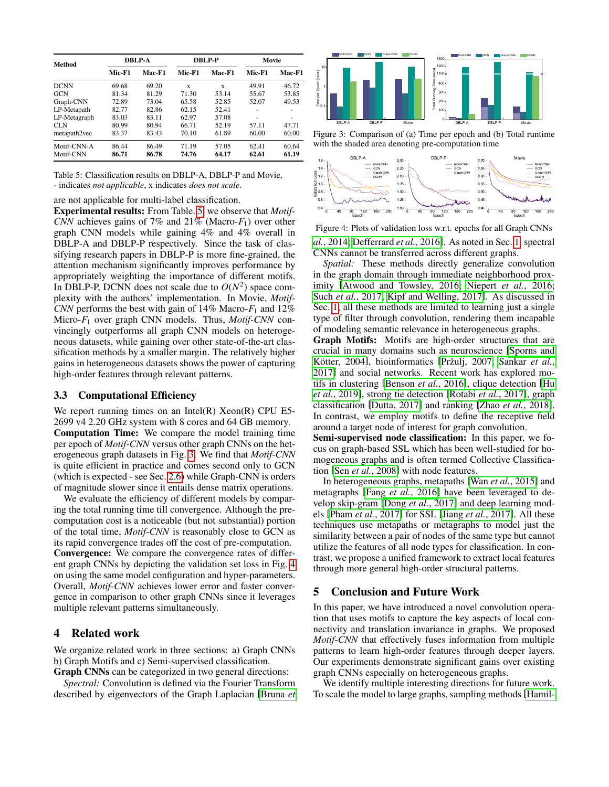<span id="page-5-0"></span>

| Method       | <b>DBLP-A</b> |        | <b>DBLP-P</b> |        | Movie  |        |
|--------------|---------------|--------|---------------|--------|--------|--------|
|              | Mic-F1        | Mac-F1 | Mic-F1        | Mac-F1 | Mic-F1 | Mac-F1 |
| <b>DCNN</b>  | 69.68         | 69.20  | X             | X      | 49.91  | 46.72  |
| <b>GCN</b>   | 81.34         | 81.29  | 71.30         | 53.14  | 55.67  | 53.85  |
| Graph-CNN    | 72.89         | 73.04  | 65.58         | 52.85  | 52.07  | 49.53  |
| LP-Metapath  | 82.77         | 82.86  | 62.15         | 52.41  |        |        |
| LP-Metagraph | 83.03         | 83.11  | 62.97         | 57.08  | -      | -      |
| CLN          | 80.99         | 80.94  | 66.71         | 52.19  | 57.11  | 47.71  |
| metapath2vec | 83.37         | 83.43  | 70.10         | 61.89  | 60.00  | 60.00  |
| Motif-CNN-A  | 86.44         | 86.49  | 71.19         | 57.05  | 62.41  | 60.64  |
| Motif-CNN    | 86.71         | 86.78  | 74.76         | 64.17  | 62.61  | 61.19  |

Table 5: Classification results on DBLP-A, DBLP-P and Movie, - indicates *not applicable*, x indicates *does not scale*.

are not applicable for multi-label classification.

Experimental results: From Table. [5,](#page-5-0) we observe that *Motif-CNN* achieves gains of 7% and 21% (Macro-*F*1) over other graph CNN models while gaining 4% and 4% overall in DBLP-A and DBLP-P respectively. Since the task of classifying research papers in DBLP-P is more fine-grained, the attention mechanism significantly improves performance by appropriately weighting the importance of different motifs. In DBLP-P, DCNN does not scale due to  $O(N^2)$  space complexity with the authors' implementation. In Movie, *Motif-CNN* performs the best with gain of 14% Macro- $F_1$  and 12% Micro-*F*<sup>1</sup> over graph CNN models. Thus, *Motif-CNN* convincingly outperforms all graph CNN models on heterogeneous datasets, while gaining over other state-of-the-art classification methods by a smaller margin. The relatively higher gains in heterogeneous datasets shows the power of capturing high-order features through relevant patterns.

#### 3.3 Computational Efficiency

We report running times on an Intel $(R)$  Xeon $(R)$  CPU E5-2699 v4 2.20 GHz system with 8 cores and 64 GB memory. Computation Time: We compare the model training time per epoch of *Motif-CNN* versus other graph CNNs on the heterogeneous graph datasets in Fig. [3.](#page-5-1) We find that *Motif-CNN* is quite efficient in practice and comes second only to GCN (which is expected - see Sec. [2.6\)](#page-3-5) while Graph-CNN is orders of magnitude slower since it entails dense matrix operations.

We evaluate the efficiency of different models by comparing the total running time till convergence. Although the precomputation cost is a noticeable (but not substantial) portion of the total time, *Motif-CNN* is reasonably close to GCN as its rapid convergence trades off the cost of pre-computation. Convergence: We compare the convergence rates of different graph CNNs by depicting the validation set loss in Fig. [4](#page-5-2) on using the same model configuration and hyper-parameters. Overall, *Motif-CNN* achieves lower error and faster convergence in comparison to other graph CNNs since it leverages multiple relevant patterns simultaneously.

# 4 Related work

We organize related work in three sections: a) Graph CNNs b) Graph Motifs and c) Semi-supervised classification. Graph CNNs can be categorized in two general directions:

*Spectral:* Convolution is defined via the Fourier Transform described by eigenvectors of the Graph Laplacian [\[Bruna](#page-6-4) *et*

<span id="page-5-1"></span>

Figure 3: Comparison of (a) Time per epoch and (b) Total runtime with the shaded area denoting pre-computation time

<span id="page-5-2"></span>

Figure 4: Plots of validation loss w.r.t. epochs for all Graph CNNs *al.*[, 2014;](#page-6-4) [Defferrard](#page-6-6) *et al.*, 2016]. As noted in Sec. [1,](#page-0-0) spectral CNNs cannot be transferred across different graphs.

*Spatial:* These methods directly generalize convolution in the graph domain through immediate neighborhood proximity [\[Atwood and Towsley, 2016;](#page-6-8) [Niepert](#page-6-10) *et al.*, 2016; Such *et al.*[, 2017;](#page-6-9) [Kipf and Welling, 2017\]](#page-6-7). As discussed in Sec. [1,](#page-0-0) all these methods are limited to learning just a single type of filter through convolution, rendering them incapable of modeling semantic relevance in heterogeneous graphs.

Graph Motifs: Motifs are high-order structures that are crucial in many domains such as neuroscience [\[Sporns and](#page-6-32) Kötter, 2004], bioinformatics [Pržulj, 2007; [Sankar](#page-6-34) et al., [2017\]](#page-6-34) and social networks. Recent work has explored motifs in clustering [\[Benson](#page-6-14) *et al.*, 2016], clique detection [\[Hu](#page-6-35) *et al.*[, 2019\]](#page-6-35), strong tie detection [\[Rotabi](#page-6-36) *et al.*, 2017], graph classification [\[Dutta, 2017\]](#page-6-37) and ranking [Zhao *et al.*[, 2018\]](#page-6-38). In contrast, we employ motifs to define the receptive field around a target node of interest for graph convolution.

Semi-supervised node classification: In this paper, we focus on graph-based SSL which has been well-studied for homogeneous graphs and is often termed Collective Classification [Sen *et al.*[, 2008\]](#page-6-23) with node features.

In heterogeneous graphs, metapaths [Wan *et al.*[, 2015\]](#page-6-28) and metagraphs [Fang *et al.*[, 2016\]](#page-6-13) have been leveraged to develop skip-gram [Dong *et al.*[, 2017\]](#page-6-31) and deep learning models [Pham *et al.*[, 2017\]](#page-6-30) for SSL [Jiang *et al.*[, 2017\]](#page-6-29). All these techniques use metapaths or metagraphs to model just the similarity between a pair of nodes of the same type but cannot utilize the features of all node types for classification. In contrast, we propose a unified framework to extract local features through more general high-order structural patterns.

# 5 Conclusion and Future Work

In this paper, we have introduced a novel convolution operation that uses motifs to capture the key aspects of local connectivity and translation invariance in graphs. We proposed *Motif-CNN* that effectively fuses information from multiple patterns to learn high-order features through deeper layers. Our experiments demonstrate significant gains over existing graph CNNs especially on heterogeneous graphs.

We identify multiple interesting directions for future work. To scale the model to large graphs, sampling methods[\[Hamil-](#page-6-11)